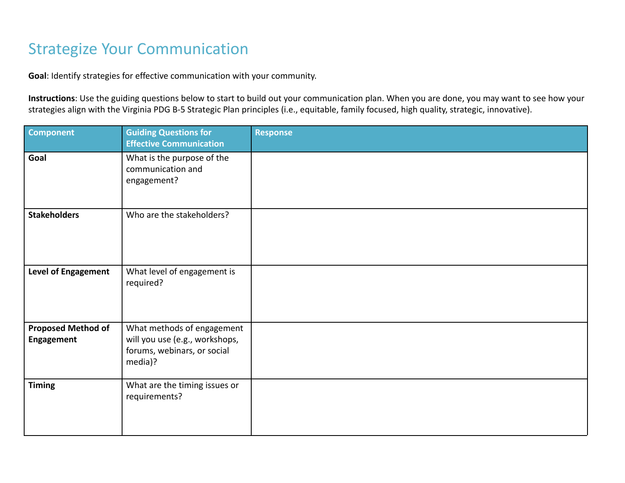## Strategize Your Communication

**Goal**: Identify strategies for effective communication with your community.

**Instructions**: Use the guiding questions below to start to build out your communication plan. When you are done, you may want to see how your strategies align with the Virginia PDG B-5 Strategic Plan principles (i.e., equitable, family focused, high quality, strategic, innovative).

| <b>Component</b>                        | <b>Guiding Questions for</b><br><b>Effective Communication</b>                                         | <b>Response</b> |
|-----------------------------------------|--------------------------------------------------------------------------------------------------------|-----------------|
| Goal                                    | What is the purpose of the<br>communication and<br>engagement?                                         |                 |
| <b>Stakeholders</b>                     | Who are the stakeholders?                                                                              |                 |
| <b>Level of Engagement</b>              | What level of engagement is<br>required?                                                               |                 |
| <b>Proposed Method of</b><br>Engagement | What methods of engagement<br>will you use (e.g., workshops,<br>forums, webinars, or social<br>media)? |                 |
| <b>Timing</b>                           | What are the timing issues or<br>requirements?                                                         |                 |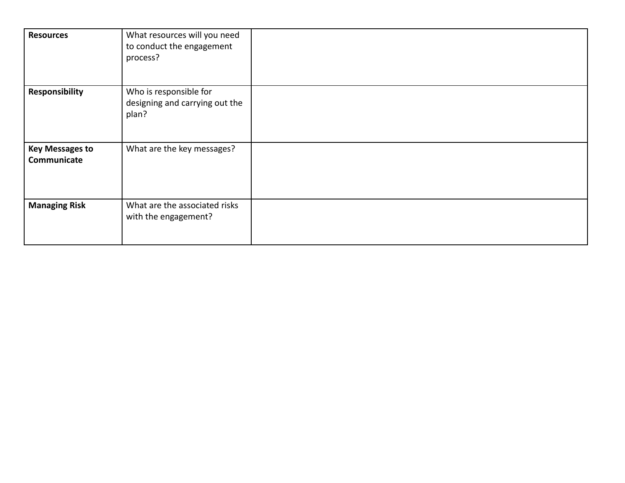| <b>Resources</b>                      | What resources will you need<br>to conduct the engagement<br>process? |  |
|---------------------------------------|-----------------------------------------------------------------------|--|
| Responsibility                        | Who is responsible for<br>designing and carrying out the<br>plan?     |  |
| <b>Key Messages to</b><br>Communicate | What are the key messages?                                            |  |
| <b>Managing Risk</b>                  | What are the associated risks<br>with the engagement?                 |  |